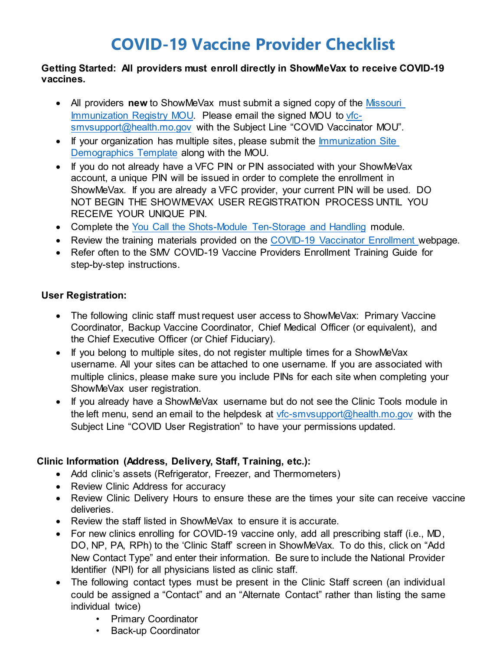# **COVID-19 Vaccine Provider Checklist**

#### **Getting Started: All providers must enroll directly in ShowMeVax to receive COVID-19 vaccines.**

- All providers **new** to ShowMeVax must submit a signed copy of the [Missouri](https://health.mo.gov/living/healthcondiseases/communicable/novel-coronavirus/vaccine-enrollment.php)  [Immunization Registry MOU.](https://health.mo.gov/living/healthcondiseases/communicable/novel-coronavirus/vaccine-enrollment.php) Please email the signed MOU to [vfc](mailto:vfc-smvsupport@health.mo.gov)[smvsupport@health.mo.gov](mailto:vfc-smvsupport@health.mo.gov) with the Subject Line "COVID Vaccinator MOU".
- If your organization has multiple sites, please submit the Immunization Site [Demographics Template](https://health.mo.gov/living/healthcondiseases/communicable/novel-coronavirus/vaccine-enrollment.php) along with the MOU.
- If you do not already have a VFC PIN or PIN associated with your ShowMeVax account, a unique PIN will be issued in order to complete the enrollment in ShowMeVax. If you are already a VFC provider, your current PIN will be used. DO NOT BEGIN THE SHOWMEVAX USER REGISTRATION PROCESS UNTIL YOU RECEIVE YOUR UNIQUE PIN.
- Complete the [You Call the Shots-Module Ten-Storage and Handling](https://www2a.cdc.gov/nip/isd/ycts/mod1/courses/sh/ce.asp) module.
- Review the training materials provided on the [COVID-19 Vaccinator Enrollment w](https://health.mo.gov/living/healthcondiseases/communicable/novel-coronavirus/vaccine-enrollment.php)ebpage.
- Refer often to the SMV COVID-19 Vaccine Providers Enrollment Training Guide for step-by-step instructions.

#### **User Registration:**

- The following clinic staff must request user access to ShowMeVax: Primary Vaccine Coordinator, Backup Vaccine Coordinator, Chief Medical Officer (or equivalent), and the Chief Executive Officer (or Chief Fiduciary).
- If you belong to multiple sites, do not register multiple times for a ShowMeVax username. All your sites can be attached to one username. If you are associated with multiple clinics, please make sure you include PINs for each site when completing your ShowMeVax user registration.
- If you already have a ShowMeVax username but do not see the Clinic Tools module in the left menu, send an email to the helpdesk at [vfc-smvsupport@health.mo.gov](mailto:vfc-smvsupport@health.mo.gov) with the Subject Line "COVID User Registration" to have your permissions updated.

## **Clinic Information (Address, Delivery, Staff, Training, etc.):**

- Add clinic's assets (Refrigerator, Freezer, and Thermometers)
- Review Clinic Address for accuracy
- Review Clinic Delivery Hours to ensure these are the times your site can receive vaccine deliveries.
- Review the staff listed in ShowMeVax to ensure it is accurate.
- For new clinics enrolling for COVID-19 vaccine only, add all prescribing staff (i.e., MD, DO, NP, PA, RPh) to the 'Clinic Staff' screen in ShowMeVax. To do this, click on "Add New Contact Type" and enter their information. Be sure to include the National Provider Identifier (NPI) for all physicians listed as clinic staff.
- The following contact types must be present in the Clinic Staff screen (an individual could be assigned a "Contact" and an "Alternate Contact" rather than listing the same individual twice)
	- Primary Coordinator
	- Back-up Coordinator